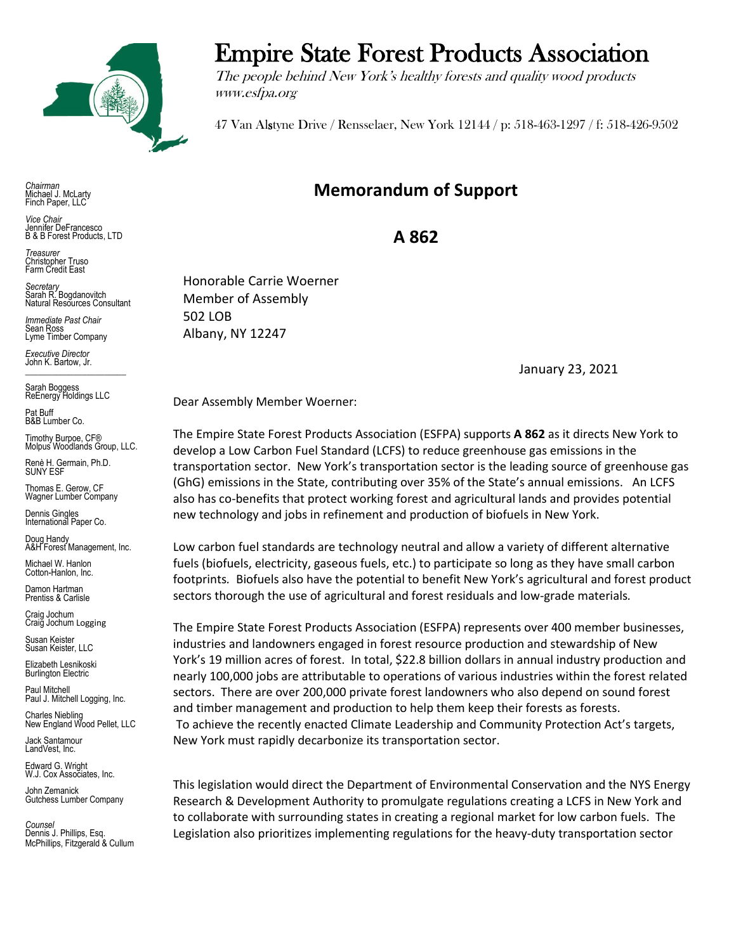

*Chairman* Michael J. McLarty Finch Paper, LLC

*Vice Chair* Jennifer DeFrancesco B & B Forest Products, LTD

*Treasurer* Christopher Truso Farm Credit East

*Secretary* Sarah R. Bogdanovitch Natural Resources Consultant

*Immediate Past Chair* Sean Ross Lyme Timber Company

*Executive Director* John K. Bartow, Jr.  $\mathcal{L}_\text{max}$  , we can also the set of the set of the set of the set of the set of the set of the set of the set of the set of the set of the set of the set of the set of the set of the set of the set of the set of the se

Sarah Boggess ReEnergy Holdings LLC

Pat Buff B&B Lumber Co.

Timothy Burpoe, CF® Molpus Woodlands Group, LLC.

Renè H. Germain, Ph.D. SUNY ESF

Thomas E. Gerow, CF Wagner Lumber Company

Dennis Gingles International Paper Co.

Doug Handy A&H Forest Management, Inc.

Michael W. Hanlon Cotton-Hanlon, Inc.

Damon Hartman Prentiss & Carlisle

Craig Jochum Craig Jochum Logging

Susan Keister Susan Keister, LLC

Elizabeth Lesnikoski **Burlington Electric** 

Paul Mitchell Paul J. Mitchell Logging, Inc.

Charles Niebling New England Wood Pellet, LLC

Jack Santamour LandVest, Inc.

Edward G. Wright W.J. Cox Associates, Inc.

John Zemanick Gutchess Lumber Company

*Counsel* Dennis J. Phillips, Esq. McPhillips, Fitzgerald & Cullum

## Empire State Forest Products Association

The people behind New York's healthy forests and quality wood products www.esfpa.org

47 Van Alstyne Drive / Rensselaer, New York 12144 / p: 518-463-1297 / f: 518-426-9502

## **Memorandum of Support**

**A 862**

Honorable Carrie Woerner Member of Assembly 502 LOB Albany, NY 12247

January 23, 2021

Dear Assembly Member Woerner:

The Empire State Forest Products Association (ESFPA) supports **A 862** as it directs New York to develop a Low Carbon Fuel Standard (LCFS) to reduce greenhouse gas emissions in the transportation sector. New York's transportation sector is the leading source of greenhouse gas (GhG) emissions in the State, contributing over 35% of the State's annual emissions. An LCFS also has co-benefits that protect working forest and agricultural lands and provides potential new technology and jobs in refinement and production of biofuels in New York.

Low carbon fuel standards are technology neutral and allow a variety of different alternative fuels (biofuels, electricity, gaseous fuels, etc.) to participate so long as they have small carbon footprints*.* Biofuels also have the potential to benefit New York's agricultural and forest product sectors thorough the use of agricultural and forest residuals and low-grade materials*.*

The Empire State Forest Products Association (ESFPA) represents over 400 member businesses, industries and landowners engaged in forest resource production and stewardship of New York's 19 million acres of forest. In total, \$22.8 billion dollars in annual industry production and nearly 100,000 jobs are attributable to operations of various industries within the forest related sectors. There are over 200,000 private forest landowners who also depend on sound forest and timber management and production to help them keep their forests as forests. To achieve the recently enacted Climate Leadership and Community Protection Act's targets, New York must rapidly decarbonize its transportation sector.

This legislation would direct the Department of Environmental Conservation and the NYS Energy Research & Development Authority to promulgate regulations creating a LCFS in New York and to collaborate with surrounding states in creating a regional market for low carbon fuels. The Legislation also prioritizes implementing regulations for the heavy-duty transportation sector